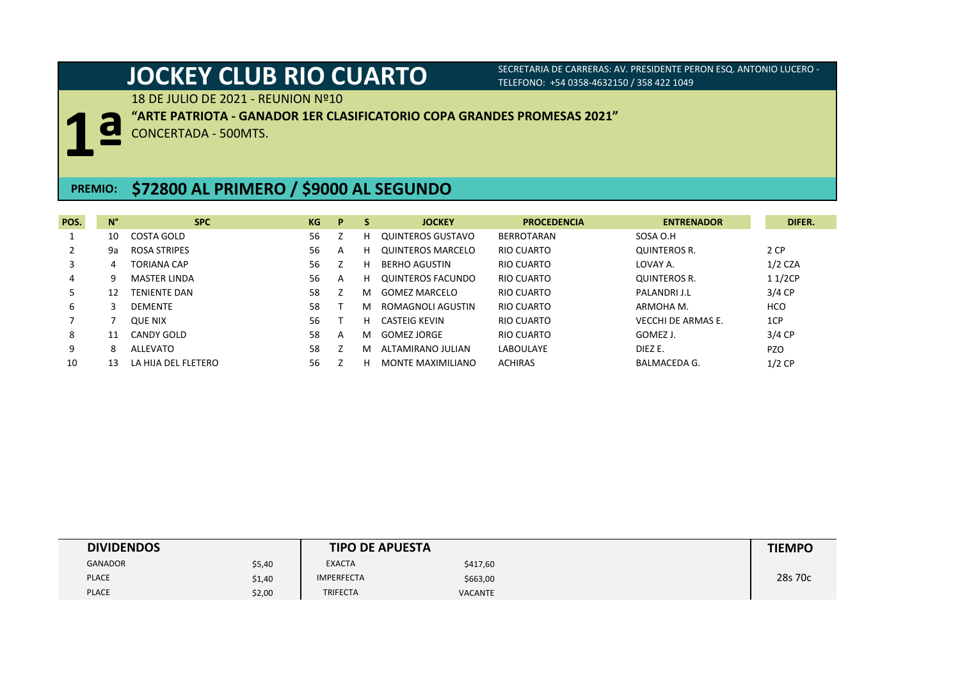18 DE JULIO DE 2021 - REUNION Nº10



**"ARTE PATRIOTA - GANADOR 1ER CLASIFICATORIO COPA GRANDES PROMESAS 2021"**

CONCERTADA - 500MTS.

## **PREMIO: \$72800 AL PRIMERO / \$9000 AL SEGUNDO**

| POS. | $N^{\circ}$ | <b>SPC</b>          | KG | P | S | <b>JOCKEY</b>            | <b>PROCEDENCIA</b> | <b>ENTRENADOR</b>         | DIFER.     |
|------|-------------|---------------------|----|---|---|--------------------------|--------------------|---------------------------|------------|
|      | 10          | COSTA GOLD          | 56 |   | н | QUINTEROS GUSTAVO        | <b>BERROTARAN</b>  | SOSA O.H                  |            |
|      | 9a          | <b>ROSA STRIPES</b> | 56 | A | н | <b>OUINTEROS MARCELO</b> | RIO CUARTO         | <b>QUINTEROS R.</b>       | 2 CP       |
|      |             | <b>TORIANA CAP</b>  | 56 |   | н | <b>BERHO AGUSTIN</b>     | RIO CUARTO         | LOVAY A.                  | $1/2$ CZA  |
| 4    | 9           | <b>MASTER LINDA</b> | 56 | A | н | QUINTEROS FACUNDO        | RIO CUARTO         | <b>QUINTEROS R.</b>       | 11/2CP     |
| 5.   | 12          | <b>TENIENTE DAN</b> | 58 |   | м | <b>GOMEZ MARCELO</b>     | RIO CUARTO         | PALANDRI J.L              | $3/4$ CP   |
| 6    |             | <b>DEMENTE</b>      | 58 |   | м | ROMAGNOLI AGUSTIN        | RIO CUARTO         | ARMOHA M.                 | <b>HCO</b> |
|      |             | <b>QUE NIX</b>      | 56 |   | н | <b>CASTEIG KEVIN</b>     | RIO CUARTO         | <b>VECCHI DE ARMAS E.</b> | 1CP        |
| 8    | 11          | CANDY GOLD          | 58 | A | м | <b>GOMEZ JORGE</b>       | RIO CUARTO         | GOMEZ J.                  | 3/4 CP     |
| 9    | 8           | ALLEVATO            | 58 |   | м | ALTAMIRANO JULIAN        | LABOULAYE          | DIEZ E.                   | <b>PZO</b> |
| 10   |             | LA HIJA DEL FLETERO | 56 |   | н | MONTE MAXIMILIANO        | <b>ACHIRAS</b>     | BALMACEDA G.              | $1/2$ CP   |

| <b>DIVIDENDOS</b> |        | <b>TIPO DE APUESTA</b> |                | <b>TIEMPO</b> |
|-------------------|--------|------------------------|----------------|---------------|
| <b>GANADOR</b>    | \$5,40 | <b>EXACTA</b>          | \$417,60       |               |
| <b>PLACE</b>      | \$1,40 | <b>IMPERFECTA</b>      | \$663,00       | 28s 70c       |
| <b>PLACE</b>      | \$2,00 | <b>TRIFECTA</b>        | <b>VACANTE</b> |               |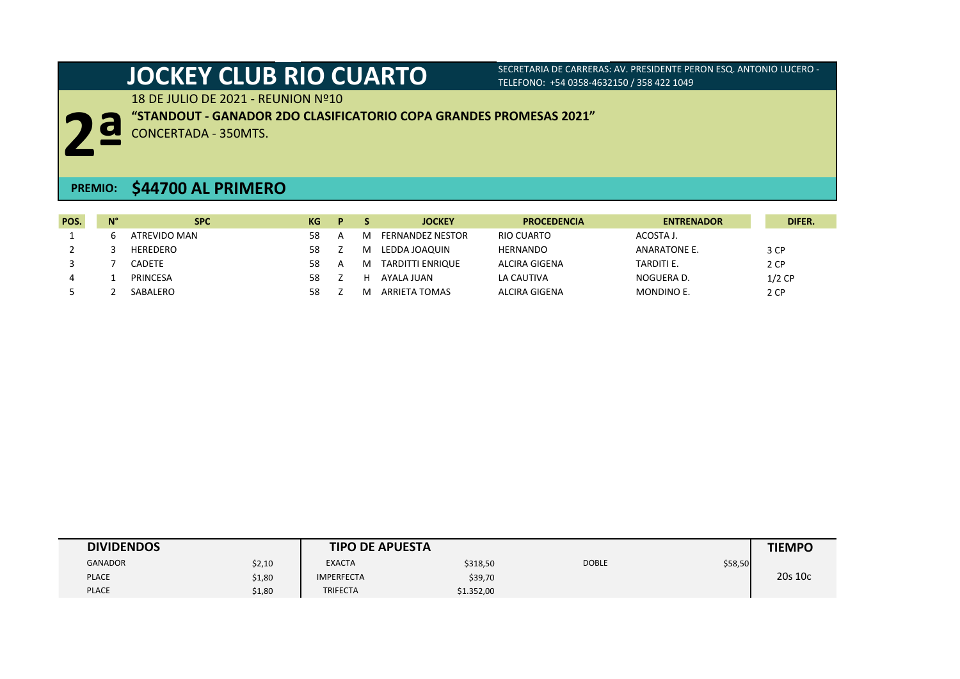18 DE JULIO DE 2021 - REUNION Nº10



**"STANDOUT - GANADOR 2DO CLASIFICATORIO COPA GRANDES PROMESAS 2021"**

CONCERTADA - 350MTS.

## **PREMIO: \$44700 AL PRIMERO**

| POS. | $N^{\circ}$ | <b>SPC</b>   | KG | D. |   | <b>JOCKEY</b>           | <b>PROCEDENCIA</b> | <b>ENTRENADOR</b> | DIFER.   |
|------|-------------|--------------|----|----|---|-------------------------|--------------------|-------------------|----------|
|      |             | ATREVIDO MAN | 58 | A  | M | <b>FERNANDEZ NESTOR</b> | RIO CUARTO         | ACOSTA J.         |          |
|      |             | HEREDERO     | 58 |    | M | LEDDA JOAQUIN           | <b>HERNANDO</b>    | ANARATONE E.      | 3 CP     |
|      |             | CADETE       | 58 | A  | M | TARDITTI ENRIQUE        | ALCIRA GIGENA      | TARDITI E.        | 2 CP     |
| 4    |             | PRINCESA     | 58 |    | н | AYALA IUAN              | LA CAUTIVA         | NOGUERA D.        | $1/2$ CP |
|      |             | SABALERO     | 58 |    | м | ARRIETA TOMAS           | ALCIRA GIGENA      | MONDINO E.        | 2 CP     |

| <b>DIVIDENDOS</b> |        | <b>TIPO DE APUESTA</b> |            |              |         | <b>TIEMPO</b> |
|-------------------|--------|------------------------|------------|--------------|---------|---------------|
| <b>GANADOR</b>    | \$2,10 | <b>EXACTA</b>          | \$318,50   | <b>DOBLE</b> | \$58,50 |               |
| <b>PLACE</b>      | \$1,80 | <b>IMPERFECTA</b>      | \$39,70    |              |         | 20s 10c       |
| <b>PLACE</b>      | \$1,80 | <b>TRIFECTA</b>        | \$1.352,00 |              |         |               |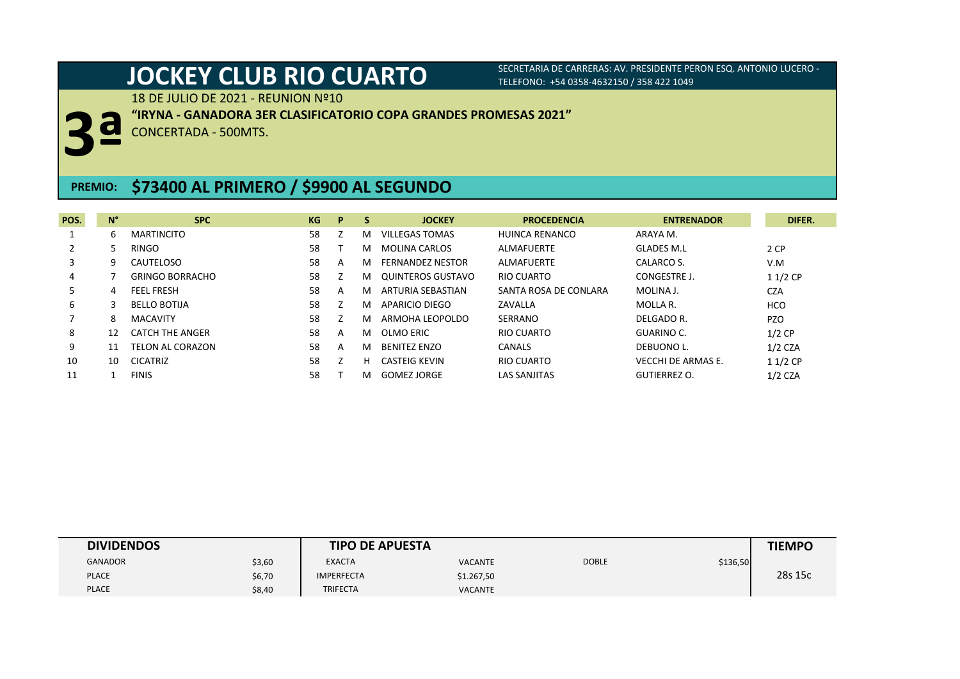18 DE JULIO DE 2021 - REUNION Nº10



**"IRYNA - GANADORA 3ER CLASIFICATORIO COPA GRANDES PROMESAS 2021"**

CONCERTADA - 500MTS.

## **PREMIO: \$73400 AL PRIMERO / \$9900 AL SEGUNDO**

| POS.           | $N^{\circ}$ | <b>SPC</b>             | KG | P | <b>S</b> | <b>JOCKEY</b>           | <b>PROCEDENCIA</b>    | <b>ENTRENADOR</b>         | DIFER.     |
|----------------|-------------|------------------------|----|---|----------|-------------------------|-----------------------|---------------------------|------------|
|                | 6           | <b>MARTINCITO</b>      | 58 |   | м        | <b>VILLEGAS TOMAS</b>   | HUINCA RENANCO        | ARAYA M.                  |            |
| $\overline{2}$ | 5.          | <b>RINGO</b>           | 58 |   | м        | <b>MOLINA CARLOS</b>    | ALMAFUERTE            | <b>GLADES M.L</b>         | 2 CP       |
| 3              | 9.          | CAUTELOSO              | 58 | A | м        | <b>FERNANDEZ NESTOR</b> | ALMAFUERTE            | CALARCO S.                | V.M        |
| 4              |             | <b>GRINGO BORRACHO</b> | 58 |   | м        | QUINTEROS GUSTAVO       | RIO CUARTO            | CONGESTRE J.              | $11/2$ CP  |
| 5.             | 4           | <b>FEEL FRESH</b>      | 58 | A | м        | ARTURIA SEBASTIAN       | SANTA ROSA DE CONLARA | MOLINA J.                 | <b>CZA</b> |
| 6              | 3           | <b>BELLO BOTIJA</b>    | 58 |   | м        | APARICIO DIEGO          | ZAVALLA               | MOLLA R.                  | <b>HCO</b> |
|                | 8           | <b>MACAVITY</b>        | 58 |   | м        | ARMOHA LEOPOLDO         | SERRANO               | DELGADO R.                | <b>PZO</b> |
| 8              | 12          | <b>CATCH THE ANGER</b> | 58 | A | м        | OLMO ERIC               | RIO CUARTO            | GUARINO C.                | $1/2$ CP   |
| 9              | 11          | TELON AL CORAZON       | 58 | A | м        | <b>BENITEZ ENZO</b>     | CANALS                | DEBUONO L.                | $1/2$ CZA  |
| 10             | 10          | <b>CICATRIZ</b>        | 58 |   | н        | CASTEIG KEVIN           | RIO CUARTO            | <b>VECCHI DE ARMAS E.</b> | $11/2$ CP  |
| 11             |             | <b>FINIS</b>           | 58 |   | м        | <b>GOMEZ JORGE</b>      | <b>LAS SANJITAS</b>   | <b>GUTIERREZ O.</b>       | $1/2$ CZA  |

| <b>DIVIDENDOS</b> |        | <b>TIPO DE APUESTA</b> |                |              |          | <b>TIEMPO</b> |
|-------------------|--------|------------------------|----------------|--------------|----------|---------------|
| <b>GANADOR</b>    | \$3,60 | <b>EXACTA</b>          | <b>VACANTE</b> | <b>DOBLE</b> | \$136,50 |               |
| <b>PLACE</b>      | \$6,70 | <b>IMPERFECTA</b>      | \$1.267,50     |              |          | 28s 15c       |
| <b>PLACE</b>      | \$8,40 | <b>TRIFECTA</b>        | <b>VACANTE</b> |              |          |               |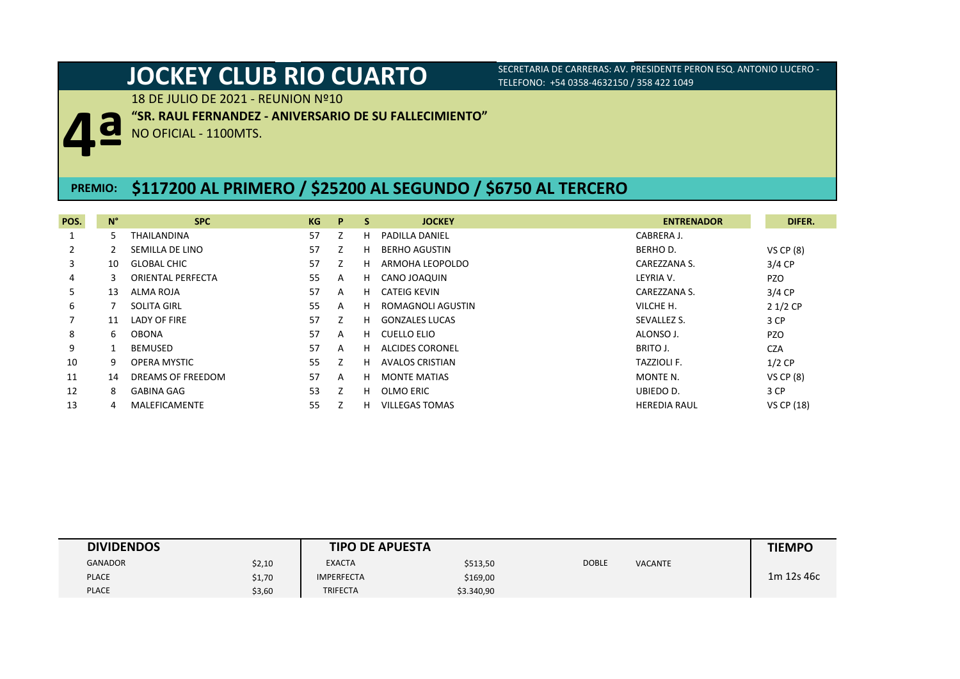18 DE JULIO DE 2021 - REUNION Nº10

**"SR. RAUL FERNANDEZ - ANIVERSARIO DE SU FALLECIMIENTO"**

NO OFICIAL - 1100MTS.

### **PREMIO: \$117200 AL PRIMERO / \$25200 AL SEGUNDO / \$6750 AL TERCERO**

| POS.           | $N^{\circ}$ | <b>SPC</b>               | KG | P | -S | <b>JOCKEY</b>          | <b>ENTRENADOR</b>   | DIFER.            |
|----------------|-------------|--------------------------|----|---|----|------------------------|---------------------|-------------------|
|                | 5           | THAILANDINA              | 57 |   | н  | <b>PADILLA DANIEL</b>  | CABRERA J.          |                   |
| $\overline{2}$ |             | SEMILLA DE LINO          | 57 |   | н  | <b>BERHO AGUSTIN</b>   | BERHO D.            | $VS$ CP $(8)$     |
| 3              | 10          | <b>GLOBAL CHIC</b>       | 57 |   | н  | ARMOHA LEOPOLDO        | CAREZZANA S.        | $3/4$ CP          |
| 4              | 3           | <b>ORIENTAL PERFECTA</b> | 55 | A | H. | CANO JOAQUIN           | LEYRIA V.           | <b>PZO</b>        |
| 5.             | 13          | ALMA ROJA                | 57 | A | H. | CATEIG KEVIN           | CAREZZANA S.        | 3/4 CP            |
| 6              |             | <b>SOLITA GIRL</b>       | 55 | A | н  | ROMAGNOLI AGUSTIN      | VILCHE H.           | $21/2$ CP         |
|                | 11          | LADY OF FIRE             | 57 | Z | н. | <b>GONZALES LUCAS</b>  | SEVALLEZ S.         | 3 CP              |
| 8              | 6           | <b>OBONA</b>             | 57 | A |    | H CUELLO ELIO          | ALONSO J.           | <b>PZO</b>        |
| 9              |             | BEMUSED                  | 57 | A | н. | <b>ALCIDES CORONEL</b> | BRITO J.            | <b>CZA</b>        |
| 10             | 9           | OPERA MYSTIC             | 55 | Z | н  | <b>AVALOS CRISTIAN</b> | <b>TAZZIOLI F.</b>  | $1/2$ CP          |
| 11             | 14          | DREAMS OF FREEDOM        | 57 | A | н. | <b>MONTE MATIAS</b>    | MONTE N.            | $VS$ CP $(8)$     |
| 12             | 8           | <b>GABINA GAG</b>        | 53 | Z | н. | OLMO ERIC              | UBIEDO D.           | 3 CP              |
| 13             |             | MALEFICAMENTE            | 55 |   | н  | <b>VILLEGAS TOMAS</b>  | <b>HEREDIA RAUL</b> | <b>VS CP (18)</b> |

| <b>DIVIDENDOS</b> |        | <b>TIPO DE APUESTA</b> |            |              |                | <b>TIEMPO</b> |
|-------------------|--------|------------------------|------------|--------------|----------------|---------------|
| <b>GANADOR</b>    | \$2,10 | <b>EXACTA</b>          | \$513,50   | <b>DOBLE</b> | <b>VACANTE</b> |               |
| <b>PLACE</b>      | \$1,70 | <b>IMPERFECTA</b>      | \$169,00   |              |                | 1m 12s 46c    |
| <b>PLACE</b>      | \$3,60 | <b>TRIFECTA</b>        | \$3.340,90 |              |                |               |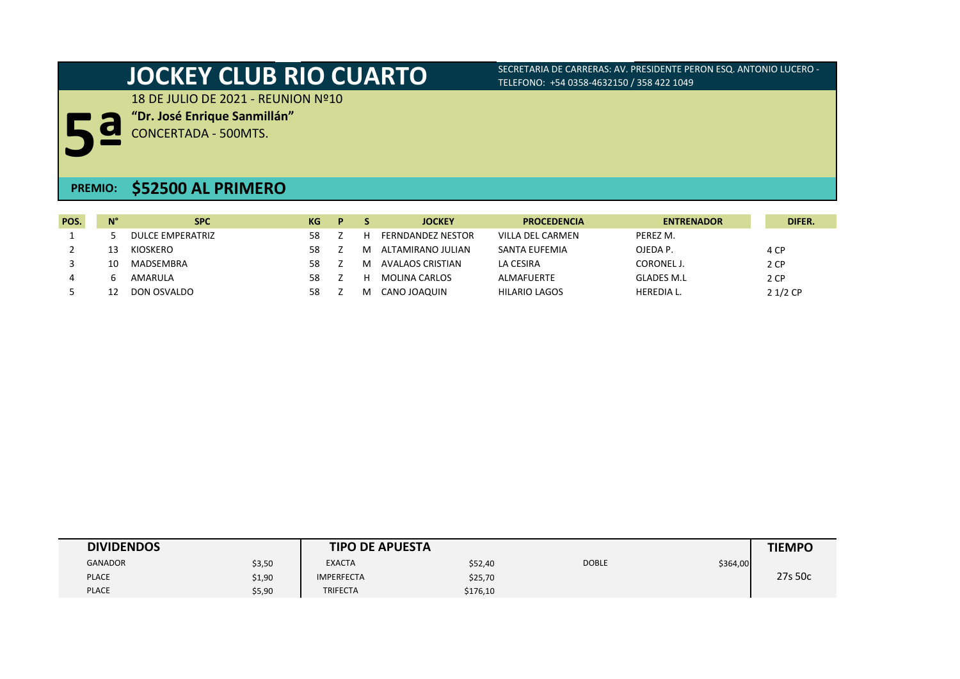18 DE JULIO DE 2021 - REUNION Nº10

**"Dr. José Enrique Sanmillán"**

**5ª** CONCERTADA - 500MTS.

## **PREMIO: \$52500 AL PRIMERO**

| POS. | $N^{\circ}$ | <b>SPC</b>       | KG. | D |          | <b>JOCKEY</b>            | <b>PROCEDENCIA</b>   | <b>ENTRENADOR</b> | DIFER.    |
|------|-------------|------------------|-----|---|----------|--------------------------|----------------------|-------------------|-----------|
|      |             | DULCE EMPERATRIZ | 58  |   | н        | <b>FERNDANDEZ NESTOR</b> | VILLA DEL CARMEN     | PEREZ M.          |           |
|      |             | KIOSKERO         | 58  |   | M        | ALTAMIRANO JULIAN        | SANTA EUFEMIA        | OJEDA P.          | 4 CP      |
|      |             | MADSEMBRA        | 58  |   | M        | AVALAOS CRISTIAN         | LA CESIRA            | <b>CORONEL J</b>  | 2 CP      |
|      |             | AMARULA          | 58  |   | н        | <b>MOLINA CARLOS</b>     | <b>ALMAFUERTE</b>    | <b>GLADES M.L</b> | 2 CP      |
|      |             | DON OSVALDO      | 58  |   | <b>M</b> | CANO JOAQUIN             | <b>HILARIO LAGOS</b> | <b>HEREDIA L.</b> | $21/2$ CP |

| <b>DIVIDENDOS</b> |        | <b>TIPO DE APUESTA</b> |          |              |          | <b>TIEMPO</b> |
|-------------------|--------|------------------------|----------|--------------|----------|---------------|
| <b>GANADOR</b>    | \$3,50 | <b>EXACTA</b>          | \$52,40  | <b>DOBLE</b> | \$364,00 |               |
| <b>PLACE</b>      | \$1,90 | <b>IMPERFECTA</b>      | \$25,70  |              |          | 27s 50c       |
| <b>PLACE</b>      | \$5,90 | <b>TRIFECTA</b>        | \$176,10 |              |          |               |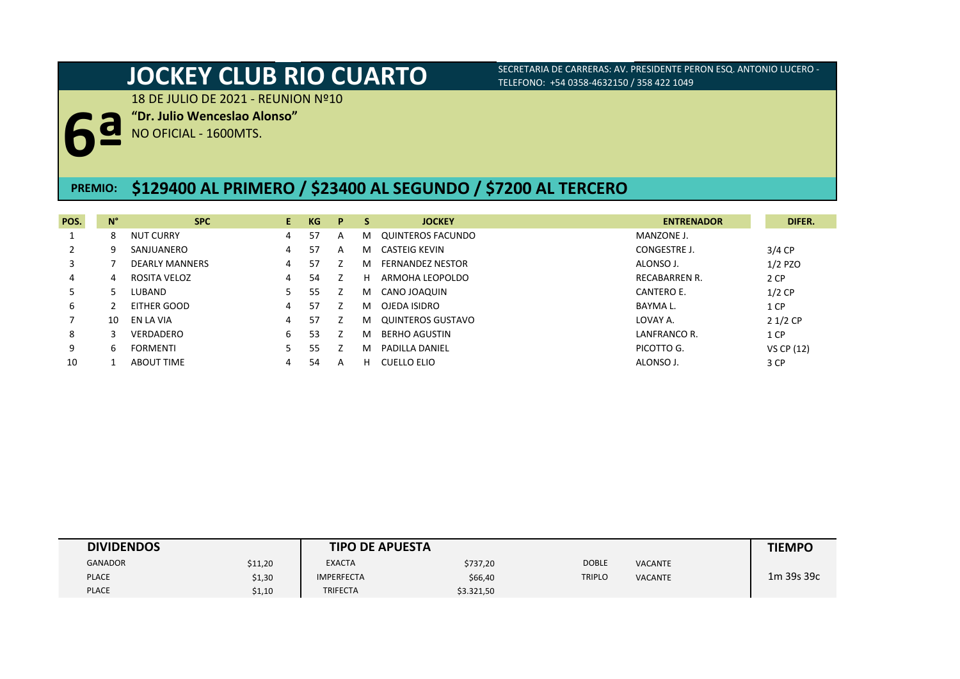18 DE JULIO DE 2021 - REUNION Nº10

**"Dr. Julio Wenceslao Alonso"**

**6ª** NO OFICIAL - 1600MTS.

### **\$129400 AL PRIMERO / \$23400 AL SEGUNDO / \$7200 AL TERCERO** 53KG. **PREMIO:**

| POS. | $N^{\circ}$ | <b>SPC</b>            | E. | KG | P | S  | <b>JOCKEY</b>           | <b>ENTRENADOR</b>    | DIFER.     |
|------|-------------|-----------------------|----|----|---|----|-------------------------|----------------------|------------|
|      | 8           | <b>NUT CURRY</b>      | 4  | 57 | A | M  | QUINTEROS FACUNDO       | MANZONE J.           |            |
|      | 9           | SANJUANERO            | 4  | 57 | А | M  | CASTEIG KEVIN           | CONGESTRE J.         | $3/4$ CP   |
|      |             | <b>DEARLY MANNERS</b> | 4  | 57 |   | м  | <b>FERNANDEZ NESTOR</b> | ALONSO J.            | $1/2$ PZO  |
| 4    | 4           | ROSITA VELOZ          | 4  | 54 |   | н  | ARMOHA LEOPOLDO         | <b>RECABARREN R.</b> | 2 CP       |
|      |             | LUBAND                |    | 55 |   | M  | CANO JOAQUIN            | CANTERO E.           | $1/2$ CP   |
| 6    |             | EITHER GOOD           | 4  | 57 |   | м  | OJEDA ISIDRO            | BAYMA L.             | 1 CP       |
|      | 10          | EN LA VIA             | 4  | 57 |   | м  | QUINTEROS GUSTAVO       | LOVAY A.             | $21/2$ CP  |
| 8    |             | VERDADERO             | 6  | 53 |   | м  | <b>BERHO AGUSTIN</b>    | LANFRANCO R.         | 1 CP       |
| 9    | 6           | <b>FORMENTI</b>       |    | 55 |   | м  | PADILLA DANIEL          | PICOTTO G.           | VS CP (12) |
| 10   |             | <b>ABOUT TIME</b>     | 4  | 54 | A | н. | CUELLO ELIO             | ALONSO J.            | 3 CP       |

| <b>DIVIDENDOS</b> |         | <b>TIPO DE APUESTA</b> |            |               |                | <b>TIEMPO</b> |
|-------------------|---------|------------------------|------------|---------------|----------------|---------------|
| <b>GANADOR</b>    | \$11,20 | <b>EXACTA</b>          | \$737,20   | <b>DOBLE</b>  | <b>VACANTE</b> |               |
| <b>PLACE</b>      | \$1,30  | <b>IMPERFECTA</b>      | \$66,40    | <b>TRIPLO</b> | <b>VACANTE</b> | 1m 39s 39c    |
| <b>PLACE</b>      | \$1,10  | <b>TRIFECTA</b>        | \$3.321,50 |               |                |               |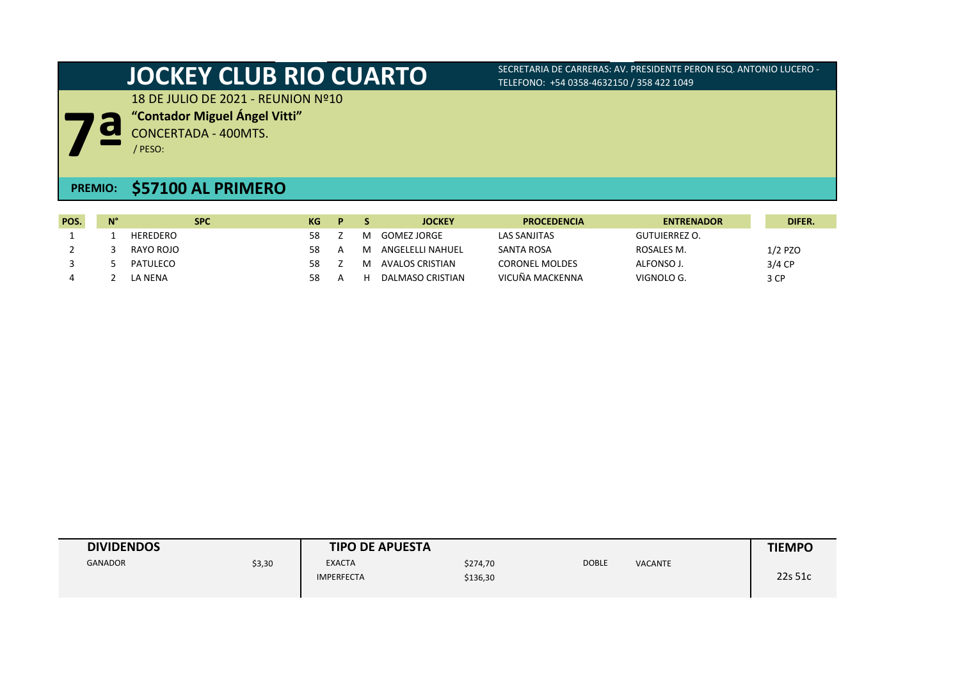18 DE JULIO DE 2021 - REUNION Nº10

**7ª "Contador Miguel Ángel Vitti"** CONCERTADA - 400MTS.

/ PESO:

## **PREMIO: \$57100 AL PRIMERO**

| POS. | $N^{\circ}$ | <b>SPC</b> | KG | D. |   | <b>JOCKEY</b>    | <b>PROCEDENCIA</b>    | <b>ENTRENADOR</b>    | DIFER.    |
|------|-------------|------------|----|----|---|------------------|-----------------------|----------------------|-----------|
|      |             | HEREDERO   | 58 |    | M | GOMEZ JORGE      | LAS SANJITAS          | <b>GUTUIERREZ O.</b> |           |
|      |             | RAYO ROJO  | 58 |    | M | ANGELELLI NAHUEL | <b>SANTA ROSA</b>     | ROSALES M.           | $1/2$ PZO |
|      |             | PATULECO   | 58 |    | м | AVALOS CRISTIAN  | <b>CORONEL MOLDES</b> | ALFONSO J.           | $3/4$ CP  |
|      |             | LA NENA    |    |    | н | DALMASO CRISTIAN | VICUÑA MACKENNA       | VIGNOLO G.           | 3 CP      |

| <b>DIVIDENDOS</b> |        | <b>TIPO DE APUESTA</b>             |                      |              |         | <b>TIEMPO</b> |
|-------------------|--------|------------------------------------|----------------------|--------------|---------|---------------|
| <b>GANADOR</b>    | \$3,30 | <b>EXACTA</b><br><b>IMPERFECTA</b> | \$274,70<br>\$136,30 | <b>DOBLE</b> | VACANTE | 22s 51c       |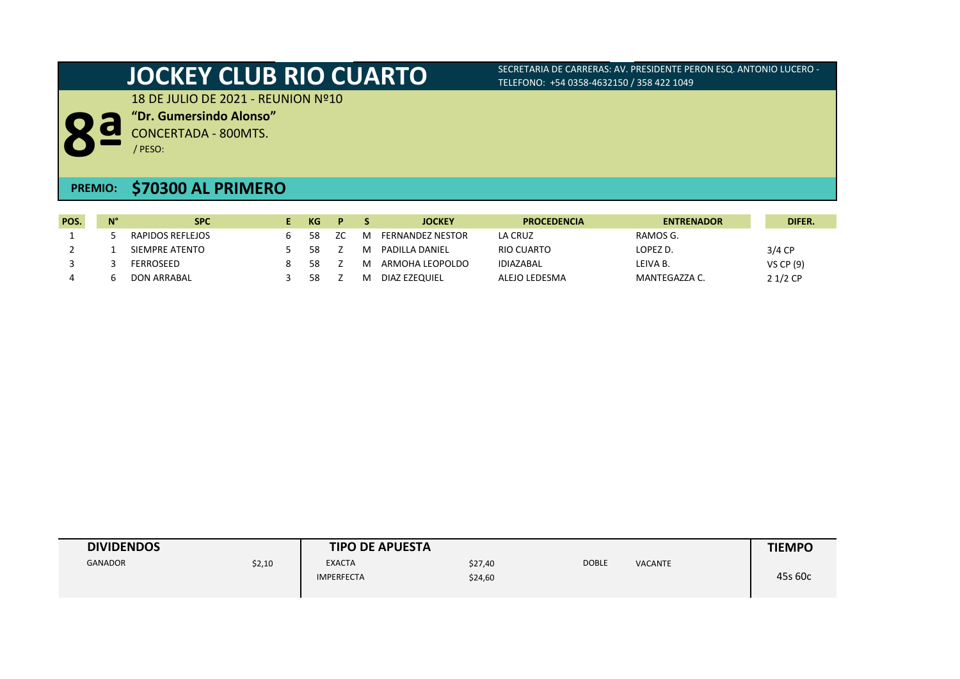18 DE JULIO DE 2021 - REUNION Nº10



CONCERTADA - 800MTS. / PESO:

**"Dr. Gumersindo Alonso"**

## **\$70300 AL PRIMERO PREMIO:**

| POS. | $N^{\circ}$ | <b>SPC</b>         | КG | D.  |   | <b>JOCKEY</b>    | <b>PROCEDENCIA</b> | <b>ENTRENADOR</b> | DIFER.    |
|------|-------------|--------------------|----|-----|---|------------------|--------------------|-------------------|-----------|
|      |             | RAPIDOS REFLEJOS   | 58 | ZC. | M | FERNANDEZ NESTOR | LA CRUZ            | RAMOS G.          |           |
|      |             | SIEMPRE ATENTO     | 58 |     | м | PADILLA DANIEL   | RIO CUARTO         | LOPEZ D.          | $3/4$ CP  |
|      |             | FERROSEED          | 58 |     | M | ARMOHA LEOPOLDO  | <b>IDIAZABAL</b>   | LEIVA B.          | VS CP (9) |
|      |             | <b>DON ARRABAL</b> | 58 |     | M | DIAZ EZEOUIEL    | ALEJO LEDESMA      | MANTEGAZZA C.     | $21/2$ CP |

| <b>DIVIDENDOS</b> |        | <b>TIPO DE APUESTA</b>             |                    |              |                | <b>TIEMPO</b> |
|-------------------|--------|------------------------------------|--------------------|--------------|----------------|---------------|
| <b>GANADOR</b>    | \$2,10 | <b>EXACTA</b><br><b>IMPERFECTA</b> | \$27,40<br>\$24,60 | <b>DOBLE</b> | <b>VACANTE</b> | 45s 60c       |
|                   |        |                                    |                    |              |                |               |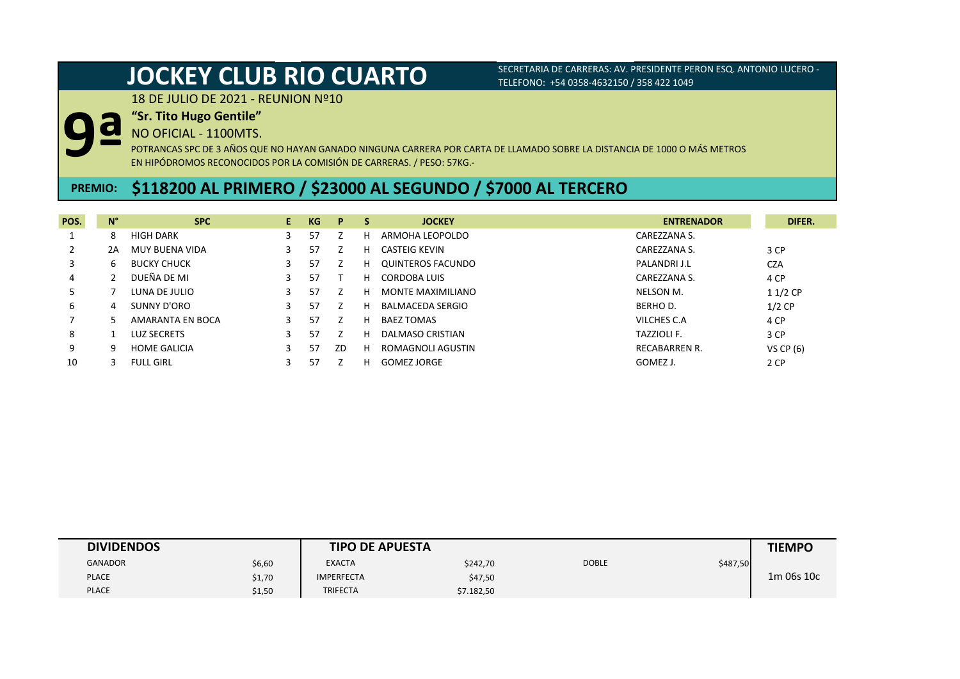18 DE JULIO DE 2021 - REUNION Nº10

### **"Sr. Tito Hugo Gentile"**

NO OFICIAL - 1100MTS.

**9ª**

POTRANCAS SPC DE 3 AÑOS QUE NO HAYAN GANADO NINGUNA CARRERA POR CARTA DE LLAMADO SOBRE LA DISTANCIA DE 1000 O MÁS METROS EN HIPÓDROMOS RECONOCIDOS POR LA COMISIÓN DE CARRERAS. / PESO: 57KG.-

## **PREMIO: \$118200 AL PRIMERO / \$23000 AL SEGUNDO / \$7000 AL TERCERO**

| POS. | $N^{\circ}$ | <b>SPC</b>          | E. | KG | P  | S. | <b>JOCKEY</b>            | <b>ENTRENADOR</b>    | DIFER.      |
|------|-------------|---------------------|----|----|----|----|--------------------------|----------------------|-------------|
|      | 8           | <b>HIGH DARK</b>    |    | 57 |    | н  | ARMOHA LEOPOLDO          | CAREZZANA S.         |             |
|      | 2A          | MUY BUENA VIDA      |    | 57 |    | н  | CASTEIG KEVIN            | CAREZZANA S.         | 3 CP        |
| 3    | b           | <b>BUCKY CHUCK</b>  | 3  | 57 |    | н  | QUINTEROS FACUNDO        | PALANDRI J.L         | <b>CZA</b>  |
| 4    |             | DUEÑA DE MI         |    | 57 |    | н  | CORDOBA LUIS             | CAREZZANA S.         | 4 CP        |
|      |             | LUNA DE JULIO       |    | 57 |    | н  | <b>MONTE MAXIMILIANO</b> | <b>NELSON M.</b>     | $11/2$ CP   |
| 6    | 4           | SUNNY D'ORO         | 3  | 57 |    | н  | <b>BALMACEDA SERGIO</b>  | <b>BERHOD.</b>       | $1/2$ CP    |
|      |             | AMARANTA EN BOCA    |    | 57 |    | н  | <b>BAEZ TOMAS</b>        | VILCHES C.A          | 4 CP        |
| 8    |             | LUZ SECRETS         |    | 57 |    | н  | DALMASO CRISTIAN         | <b>TAZZIOLI F.</b>   | 3 CP        |
| 9    | q           | <b>HOME GALICIA</b> |    | 57 | ZD | н  | ROMAGNOLI AGUSTIN        | <b>RECABARREN R.</b> | VS CP $(6)$ |
| 10   |             | <b>FULL GIRL</b>    |    | 57 |    | н  | GOMEZ JORGE              | GOMEZ J.             | 2 CP        |

| <b>DIVIDENDOS</b> |        | <b>TIPO DE APUESTA</b> |            |              |          | <b>TIEMPO</b> |
|-------------------|--------|------------------------|------------|--------------|----------|---------------|
| GANADOR           | \$6,60 | <b>EXACTA</b>          | \$242,70   | <b>DOBLE</b> | \$487,50 |               |
| <b>PLACE</b>      | \$1,70 | <b>IMPERFECTA</b>      | \$47,50    |              |          | 1m 06s 10c    |
| <b>PLACE</b>      | \$1,50 | <b>TRIFECTA</b>        | \$7.182,50 |              |          |               |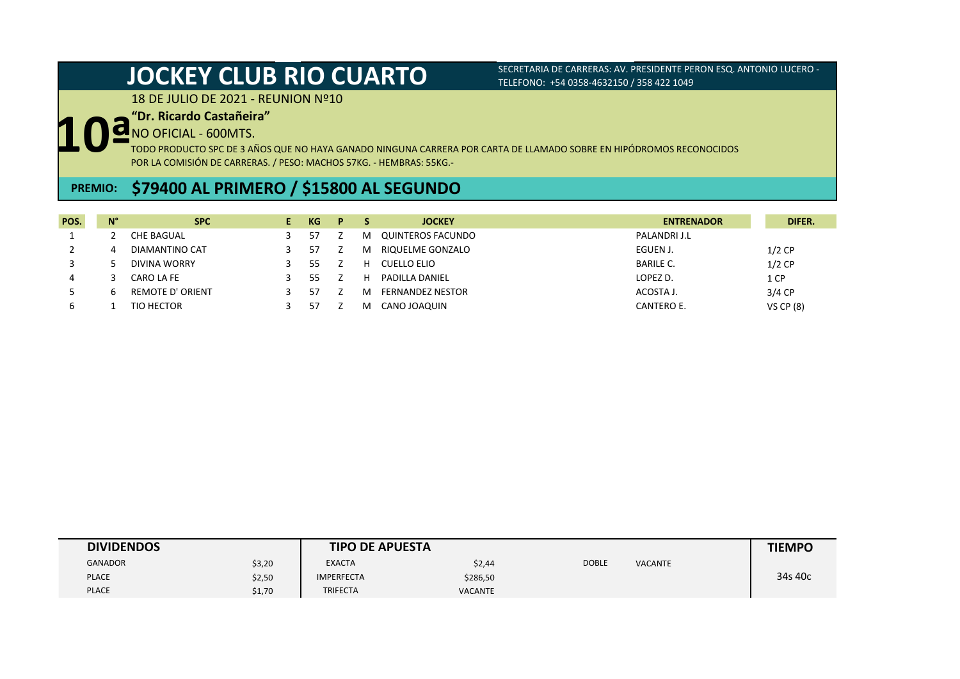18 DE JULIO DE 2021 - REUNION Nº10

## **"Dr. Ricardo Castañeira"**

NO OFICIAL - 600MTS.

**10ª** TODO PRODUCTO SPC DE 3 AÑOS QUE NO HAYA GANADO NINGUNA CARRERA POR CARTA DE LLAMADO SOBRE EN HIPÓDROMOS RECONOCIDOS POR LA COMISIÓN DE CARRERAS. / PESO: MACHOS 57KG. - HEMBRAS: 55KG.-

## **\$79400 AL PRIMERO / \$15800 AL SEGUNDO PREMIO:**

| POS. | $N^{\circ}$ | <b>SPC</b>              | КG | P |    | <b>JOCKEY</b>           | <b>ENTRENADOR</b> | DIFER.      |
|------|-------------|-------------------------|----|---|----|-------------------------|-------------------|-------------|
|      |             | CHE BAGUAL              | 57 |   | M  | QUINTEROS FACUNDO       | PALANDRI J.L      |             |
|      | 4           | DIAMANTINO CAT          | 57 |   | M  | RIQUELME GONZALO        | EGUEN J.          | $1/2$ CP    |
|      |             | DIVINA WORRY            | 55 |   | н. | CUELLO ELIO             | <b>BARILE C.</b>  | $1/2$ CP    |
| 4    |             | CARO LA FE              | 55 |   | н. | <b>PADILLA DANIEL</b>   | LOPEZ D.          | 1 CP        |
|      | h           | <b>REMOTE D' ORIENT</b> | 57 |   | M  | <b>FERNANDEZ NESTOR</b> | ACOSTA J.         | $3/4$ CP    |
| ь    |             | TIO HECTOR              | 57 |   | м  | CANO JOAQUIN            | CANTERO E.        | VS CP $(8)$ |

| <b>DIVIDENDOS</b> |        | <b>TIPO DE APUESTA</b> |                |              |                | <b>TIEMPO</b> |
|-------------------|--------|------------------------|----------------|--------------|----------------|---------------|
| <b>GANADOR</b>    | \$3,20 | <b>EXACTA</b>          | \$2,44         | <b>DOBLE</b> | <b>VACANTE</b> |               |
| <b>PLACE</b>      | \$2,50 | <b>IMPERFECTA</b>      | \$286,50       |              |                | 34s 40c       |
| <b>PLACE</b>      | \$1,70 | <b>TRIFECTA</b>        | <b>VACANTE</b> |              |                |               |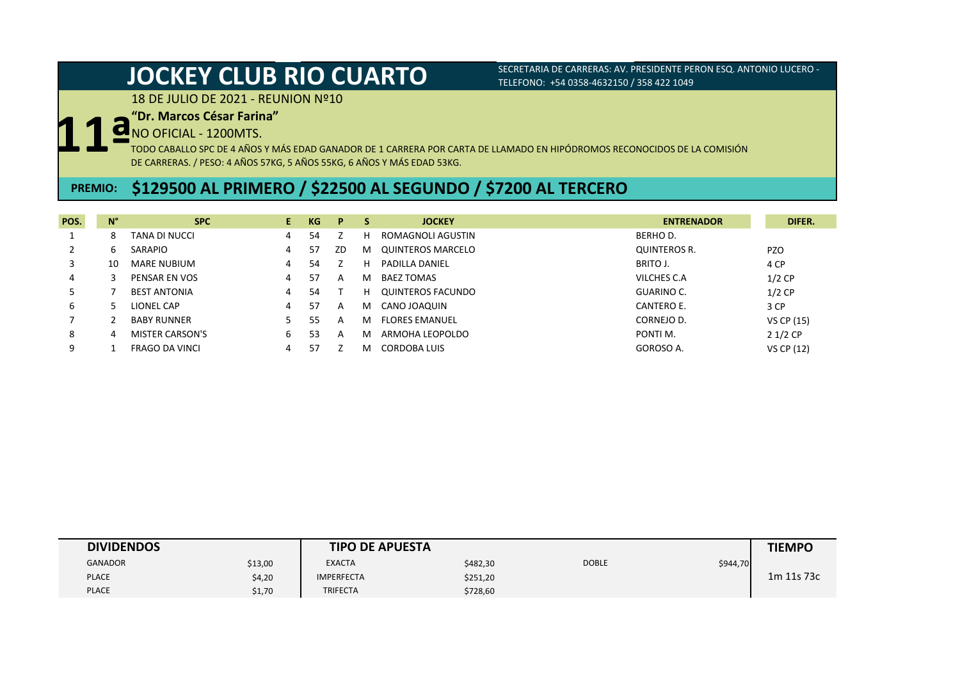18 DE JULIO DE 2021 - REUNION Nº10

### **"Dr. Marcos César Farina"**

NO OFICIAL - 1200MTS.

**11ª** TODO CABALLO SPC DE 4 AÑOS Y MÁS EDAD GANADOR DE 1 CARRERA POR CARTA DE LLAMADO EN HIPÓDROMOS RECONOCIDOS DE LA COMISIÓN DE CARRERAS. / PESO: 4 AÑOS 57KG, 5 AÑOS 55KG, 6 AÑOS Y MÁS EDAD 53KG.

## **PREMIO: \$129500 AL PRIMERO / \$22500 AL SEGUNDO / \$7200 AL TERCERO**

| POS. | $N^{\circ}$ | <b>SPC</b>            | E. | KG | P  | -S | <b>JOCKEY</b>         | <b>ENTRENADOR</b> | DIFER.     |
|------|-------------|-----------------------|----|----|----|----|-----------------------|-------------------|------------|
|      | 8           | TANA DI NUCCI         | 4  | 54 |    | н  | ROMAGNOLI AGUSTIN     | BERHO D.          |            |
|      | b           | SARAPIO               | 4  | 57 | ZD | м  | QUINTEROS MARCELO     | QUINTEROS R.      | <b>PZO</b> |
|      | 10          | <b>MARE NUBIUM</b>    | 4  | 54 |    | н  | PADILLA DANIEL        | BRITO J.          | 4 CP       |
| 4    |             | PENSAR EN VOS         | 4  | 57 | A  | м  | BAEZ TOMAS            | VILCHES C.A       | $1/2$ CP   |
|      |             | <b>BEST ANTONIA</b>   | 4  | 54 |    | н. | QUINTEROS FACUNDO     | GUARINO C.        | $1/2$ CP   |
| 6    |             | LIONEL CAP            | 4  | 57 | A  | м  | CANO JOAQUIN          | CANTERO E.        | 3 CP       |
|      |             | <b>BABY RUNNER</b>    |    | 55 | A  | м  | <b>FLORES EMANUEL</b> | CORNEJO D.        | VS CP (15) |
| 8    | 4           | MISTER CARSON'S       | 6. | 53 | A  | м  | ARMOHA LEOPOLDO       | PONTI M.          | $21/2$ CP  |
| 9    |             | <b>FRAGO DA VINCI</b> | 4  | 57 |    | м  | CORDOBA LUIS          | GOROSO A.         | VS CP (12) |

| <b>DIVIDENDOS</b> |         | <b>TIPO DE APUESTA</b> |          |              |          | <b>TIEMPO</b> |
|-------------------|---------|------------------------|----------|--------------|----------|---------------|
| <b>GANADOR</b>    | \$13,00 | <b>EXACTA</b>          | \$482,30 | <b>DOBLE</b> | \$944,70 |               |
| <b>PLACE</b>      | \$4,20  | <b>IMPERFECTA</b>      | \$251,20 |              |          | 1m 11s 73c    |
| <b>PLACE</b>      | \$1,70  | <b>TRIFECTA</b>        | \$728,60 |              |          |               |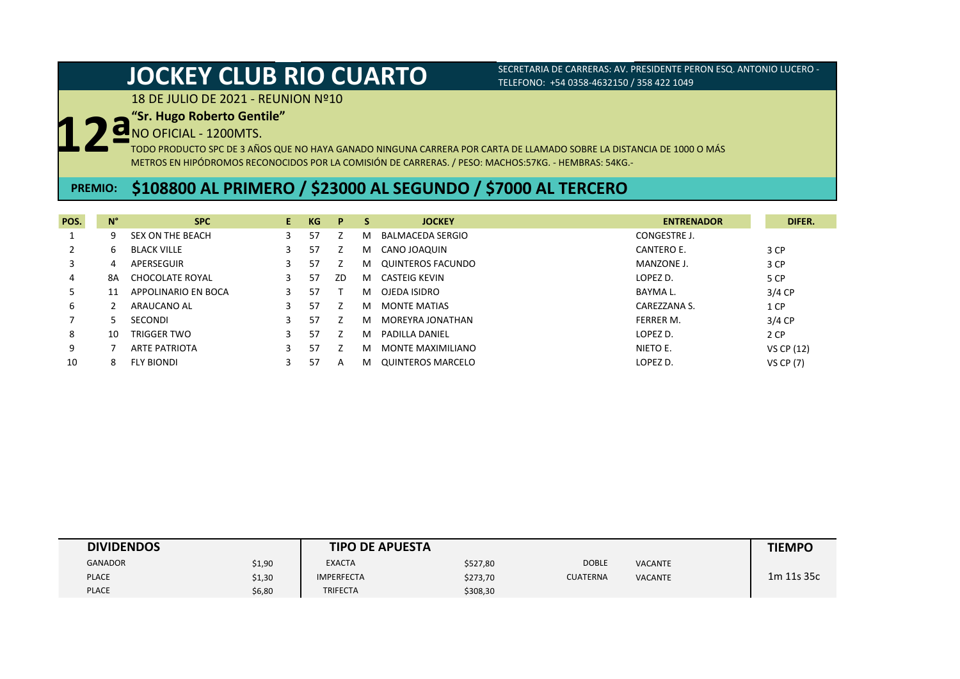18 DE JULIO DE 2021 - REUNION Nº10

### **"Sr. Hugo Roberto Gentile"**

NO OFICIAL - 1200MTS.

**12ª** TODO PRODUCTO SPC DE 3 AÑOS QUE NO HAYA GANADO NINGUNA CARRERA POR CARTA DE LLAMADO SOBRE LA DISTANCIA DE 1000 O MÁS METROS EN HIPÓDROMOS RECONOCIDOS POR LA COMISIÓN DE CARRERAS. / PESO: MACHOS:57KG. - HEMBRAS: 54KG.-

## **PREMIO: \$108800 AL PRIMERO / \$23000 AL SEGUNDO / \$7000 AL TERCERO**

| POS. | $N^{\circ}$ | <b>SPC</b>           | E. | KG | P  | <b>S</b> | <b>JOCKEY</b>       | <b>ENTRENADOR</b> | DIFER.           |
|------|-------------|----------------------|----|----|----|----------|---------------------|-------------------|------------------|
|      | 9           | SEX ON THE BEACH     |    | 57 |    | м        | BALMACEDA SERGIO    | CONGESTRE J.      |                  |
|      | 6.          | <b>BLACK VILLE</b>   |    | 57 |    | M        | CANO JOAQUIN        | CANTERO E.        | 3 CP             |
|      | 4           | APERSEGUIR           |    | 57 |    | M        | QUINTEROS FACUNDO   | MANZONE J.        | 3 CP             |
| 4    | 8A          | CHOCOLATE ROYAL      |    | 57 | ZD | M        | CASTEIG KEVIN       | LOPEZ D.          | 5 CP             |
|      | 11          | APPOLINARIO EN BOCA  |    | 57 |    | м        | OJEDA ISIDRO        | BAYMA L.          | $3/4$ CP         |
| 6    |             | ARAUCANO AL          |    | 57 |    | м        | <b>MONTE MATIAS</b> | CAREZZANA S.      | 1 CP             |
|      |             | SECONDI              |    | 57 |    | м        | MOREYRA JONATHAN    | FERRER M.         | $3/4$ CP         |
| 8    | 10          | <b>TRIGGER TWO</b>   |    | 57 |    | м        | PADILLA DANIEL      | LOPEZ D.          | 2 CP             |
| 9    |             | <b>ARTE PATRIOTA</b> |    | 57 |    | м        | MONTE MAXIMILIANO   | NIETO E.          | VS CP (12)       |
| 10   |             | <b>FLY BIONDI</b>    |    | 57 | A  | м        | QUINTEROS MARCELO   | LOPEZ D.          | <b>VS CP (7)</b> |

| <b>DIVIDENDOS</b> |        | <b>TIPO DE APUESTA</b> |          |                 |                | <b>TIEMPO</b> |
|-------------------|--------|------------------------|----------|-----------------|----------------|---------------|
| <b>GANADOR</b>    | \$1,90 | <b>EXACTA</b>          | \$527,80 | <b>DOBLE</b>    | <b>VACANTE</b> |               |
| <b>PLACE</b>      | \$1,30 | <b>IMPERFECTA</b>      | \$273,70 | <b>CUATERNA</b> | <b>VACANTE</b> | 1m 11s 35c    |
| <b>PLACE</b>      | \$6,80 | <b>TRIFECTA</b>        | \$308,30 |                 |                |               |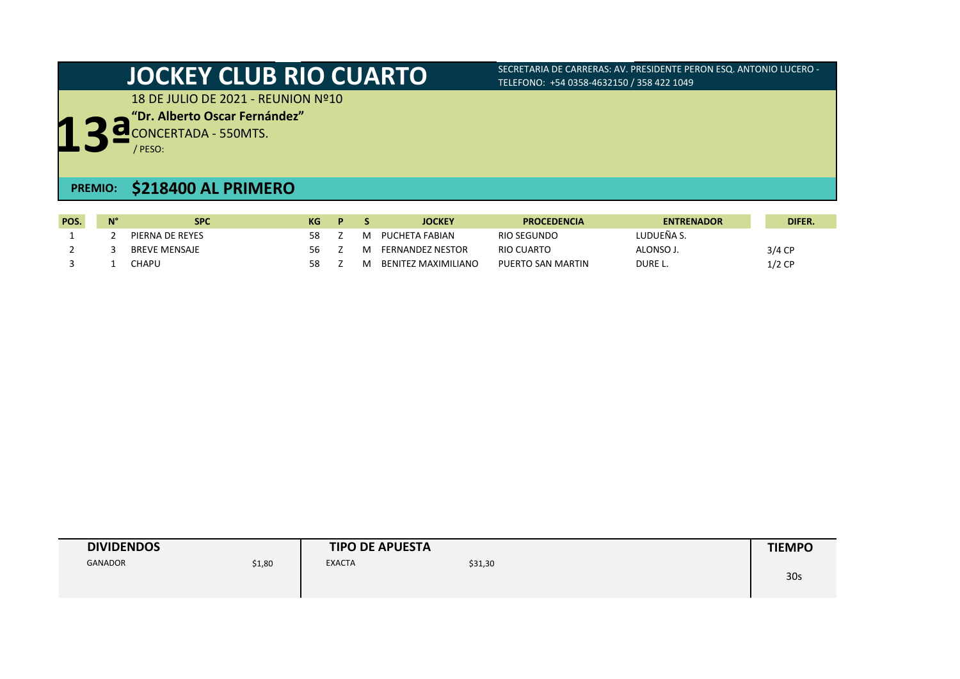18 DE JULIO DE 2021 - REUNION Nº10

**"Dr. Alberto Oscar Fernández"**

**13ª** CONCERTADA - 550MTS.

/ PESO:

## **PREMIO: \$218400 AL PRIMERO**

| POS. | <b>N<sub>o</sub></b> | <b>SPC</b>      | КG | D |   | <b>JOCKEY</b>           | <b>PROCEDENCIA</b> | <b>ENTRENADOR</b> | DIFER.   |
|------|----------------------|-----------------|----|---|---|-------------------------|--------------------|-------------------|----------|
|      |                      | PIERNA DE REYES | 58 |   | M | PUCHETA FABIAN          | RIO SEGUNDO        | NUDUEÑA S.        |          |
|      |                      | BREVE MENSAJE   | 56 |   | M | <b>FERNANDEZ NESTOR</b> | RIO CUARTO         | ALONSO J          | $3/4$ CP |
|      |                      | CHAPU           | 58 |   | M | BENITEZ MAXIMILIANO     | PUERTO SAN MARTIN  | DURE L.           | $1/2$ CP |

| <b>DIVIDENDOS</b> |        | <b>TIPO DE APUESTA</b> | <b>TIEMPO</b> |  |                 |
|-------------------|--------|------------------------|---------------|--|-----------------|
| <b>GANADOR</b>    | \$1,80 | <b>EXACTA</b>          | \$31,30       |  | 30 <sub>s</sub> |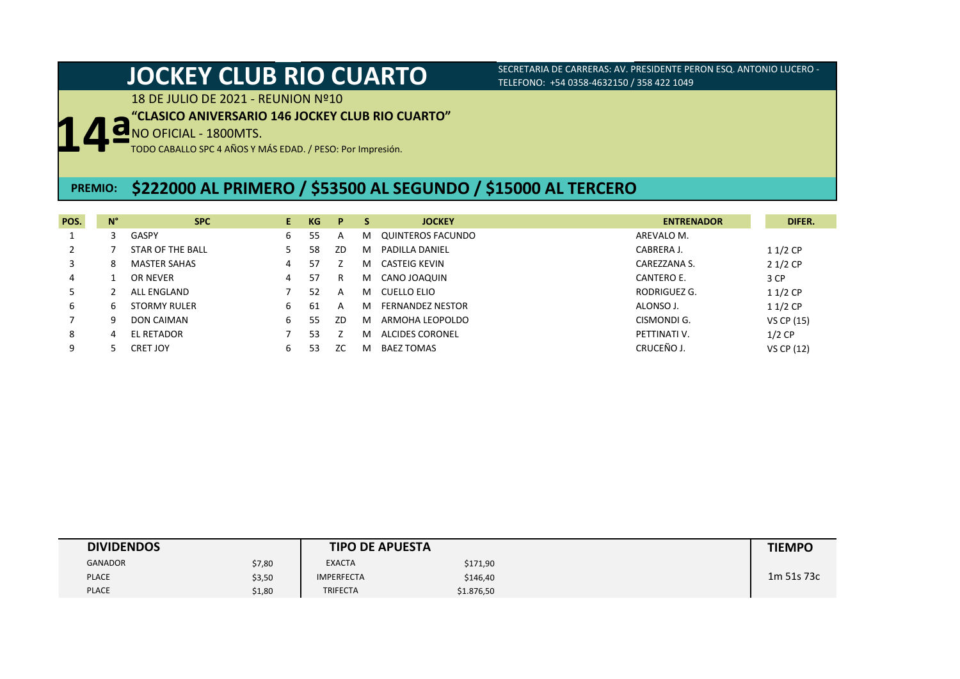# **JOCKEY CLUB RIO CUARTO** SECRETARIA DE CARRERAS: AV. PRESIDENTE PERON ESQ. ANTONIO LUCERO -

TELEFONO: +54 0358-4632150 / 358 422 1049

18 DE JULIO DE 2021 - REUNION Nº10

### **"CLASICO ANIVERSARIO 146 JOCKEY CLUB RIO CUARTO"**

**14ª** NO OFICIAL - 1800MTS.

TODO CABALLO SPC 4 AÑOS Y MÁS EDAD. / PESO: Por Impresión.

### **PREMIO: \$222000 AL PRIMERO / \$53500 AL SEGUNDO / \$15000 AL TERCERO**

| POS. | $N^{\circ}$ | <b>SPC</b>          | E. | KG  | P  | - S | <b>JOCKEY</b>           | <b>ENTRENADOR</b> | DIFER.     |
|------|-------------|---------------------|----|-----|----|-----|-------------------------|-------------------|------------|
|      |             | <b>GASPY</b>        | 6  | 55  | A  | м   | QUINTEROS FACUNDO       | AREVALO M.        |            |
|      |             | STAR OF THE BALL    |    | 58  | ZD | M   | PADILLA DANIEL          | CABRERA J.        | $11/2$ CP  |
| 3    | 8           | <b>MASTER SAHAS</b> | 4  | 57  |    | м   | CASTEIG KEVIN           | CAREZZANA S.      | $21/2$ CP  |
| 4    |             | OR NEVER            | 4  | 57  | R  | м   | CANO JOAQUIN            | CANTERO E.        | 3 CP       |
|      |             | ALL ENGLAND         |    | 52  | А  | м   | CUELLO ELIO             | RODRIGUEZ G.      | $11/2$ CP  |
| 6    | 6           | <b>STORMY RULER</b> | b  | -61 | А  | м   | <b>FERNANDEZ NESTOR</b> | ALONSO J.         | $11/2$ CP  |
|      | 9           | DON CAIMAN          | 6  | 55  | ZD | M   | ARMOHA LEOPOLDO         | CISMONDI G.       | VS CP (15) |
| 8    | 4           | EL RETADOR          |    | 53  |    | м   | ALCIDES CORONEL         | PETTINATI V.      | $1/2$ CP   |
| 9    |             | CRET JOY            | 6  | 53  | ZC | м   | <b>BAEZ TOMAS</b>       | CRUCEÑO J.        | VS CP (12) |

| <b>DIVIDENDOS</b> |        | <b>TIPO DE APUESTA</b> | <b>TIEMPO</b> |  |            |
|-------------------|--------|------------------------|---------------|--|------------|
| <b>GANADOR</b>    | \$7,80 | <b>EXACTA</b>          | \$171,90      |  |            |
| <b>PLACE</b>      | \$3,50 | <b>IMPERFECTA</b>      | \$146,40      |  | 1m 51s 73c |
| <b>PLACE</b>      | \$1,80 | <b>TRIFECTA</b>        | \$1.876,50    |  |            |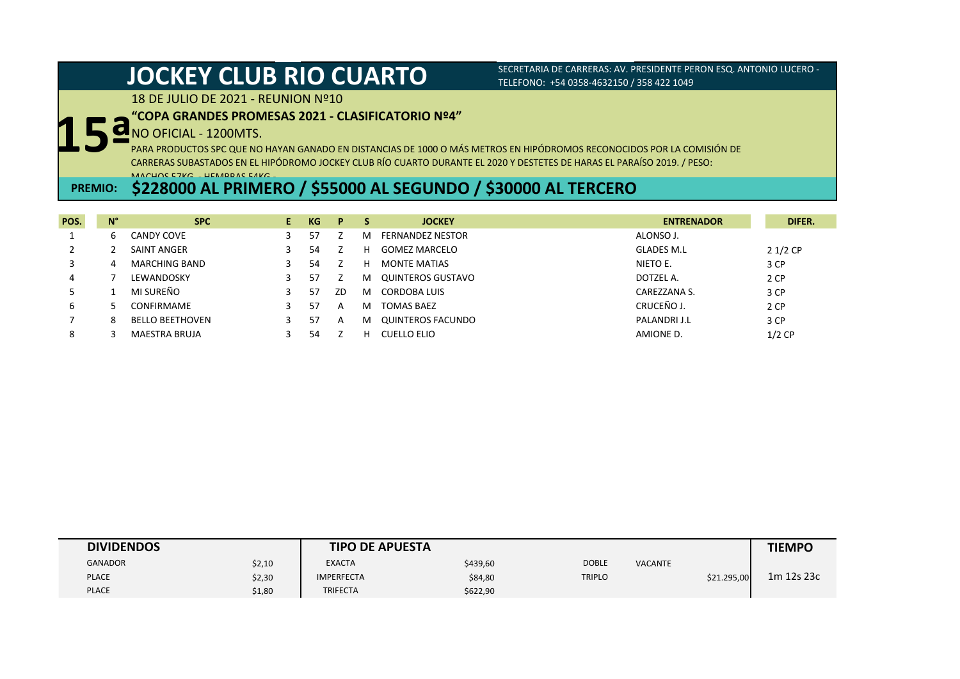18 DE JULIO DE 2021 - REUNION Nº10

### **"COPA GRANDES PROMESAS 2021 - CLASIFICATORIO Nº4"**

# **15ª** NO OFICIAL - 1200MTS.

PARA PRODUCTOS SPC QUE NO HAYAN GANADO EN DISTANCIAS DE 1000 O MÁS METROS EN HIPÓDROMOS RECONOCIDOS POR LA COMISIÓN DE CARRERAS SUBASTADOS EN EL HIPÓDROMO JOCKEY CLUB RÍO CUARTO DURANTE EL 2020 Y DESTETES DE HARAS EL PARAÍSO 2019. / PESO: MACHOS 57KG. - HEMBRAS 54KG.-

## **PREMIO: \$228000 AL PRIMERO / \$55000 AL SEGUNDO / \$30000 AL TERCERO**

| POS. | $N^{\circ}$ | <b>SPC</b>             | E. | KG | P  |   | <b>JOCKEY</b>       | <b>ENTRENADOR</b> | DIFER.    |
|------|-------------|------------------------|----|----|----|---|---------------------|-------------------|-----------|
|      | ь           | <b>CANDY COVE</b>      |    | 57 |    | M | FERNANDEZ NESTOR    | ALONSO J.         |           |
|      |             | SAINT ANGER            |    | 54 |    | н | GOMEZ MARCELO       | <b>GLADES M.L</b> | $21/2$ CP |
|      |             | <b>MARCHING BAND</b>   |    | 54 |    | н | <b>MONTE MATIAS</b> | NIETO E.          | 3 CP      |
| 4    |             | LEWANDOSKY             |    | 57 |    | м | QUINTEROS GUSTAVO   | DOTZEL A.         | 2 CP      |
|      |             | MI SUREÑO              |    | 57 | ZD | M | CORDOBA LUIS        | CAREZZANA S.      | 3 CP      |
| ь    |             | CONFIRMAME             |    | 57 | A  | м | <b>TOMAS BAEZ</b>   | CRUCEÑO J.        | 2 CP      |
|      | 8           | <b>BELLO BEETHOVEN</b> |    | 57 | A  | м | QUINTEROS FACUNDO   | PALANDRI J.L      | 3 CP      |
| 8    |             | <b>MAESTRA BRUJA</b>   |    | 54 |    | н | CUELLO ELIO         | AMIONE D.         | $1/2$ CP  |

| <b>DIVIDENDOS</b> |        | <b>TIPO DE APUESTA</b> | <b>TIEMPO</b> |               |                |             |            |
|-------------------|--------|------------------------|---------------|---------------|----------------|-------------|------------|
| <b>GANADOR</b>    | \$2,10 | <b>EXACTA</b>          | \$439,60      | <b>DOBLE</b>  | <b>VACANTE</b> |             |            |
| <b>PLACE</b>      | \$2,30 | <b>IMPERFECTA</b>      | \$84,80       | <b>TRIPLO</b> |                | \$21.295,00 | 1m 12s 23c |
| <b>PLACE</b>      | \$1,80 | <b>TRIFECTA</b>        | \$622,90      |               |                |             |            |